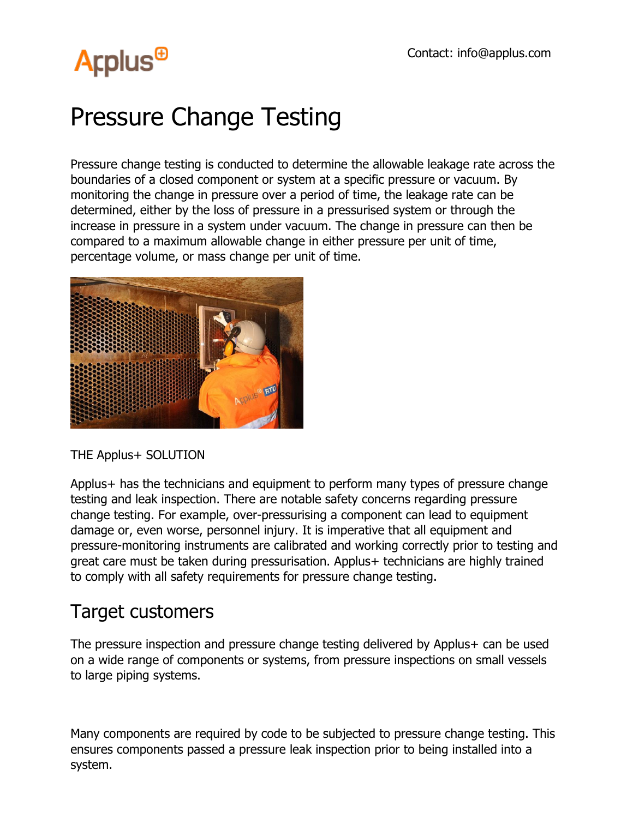## **Arplus<sup>®</sup>**

## Pressure Change Testing

Pressure change testing is conducted to determine the allowable leakage rate across the boundaries of a closed component or system at a specific pressure or vacuum. By monitoring the change in pressure over a period of time, the leakage rate can be determined, either by the loss of pressure in a pressurised system or through the increase in pressure in a system under vacuum. The change in pressure can then be compared to a maximum allowable change in either pressure per unit of time, percentage volume, or mass change per unit of time.



THE Applus+ SOLUTION

Applus+ has the technicians and equipment to perform many types of pressure change testing and leak inspection. There are notable safety concerns regarding pressure change testing. For example, over-pressurising a component can lead to equipment damage or, even worse, personnel injury. It is imperative that all equipment and pressure-monitoring instruments are calibrated and working correctly prior to testing and great care must be taken during pressurisation. Applus+ technicians are highly trained to comply with all safety requirements for pressure change testing.

## Target customers

The pressure inspection and pressure change testing delivered by Applus+ can be used on a wide range of components or systems, from pressure inspections on small vessels to large piping systems.

Many components are required by code to be subjected to pressure change testing. This ensures components passed a pressure leak inspection prior to being installed into a system.